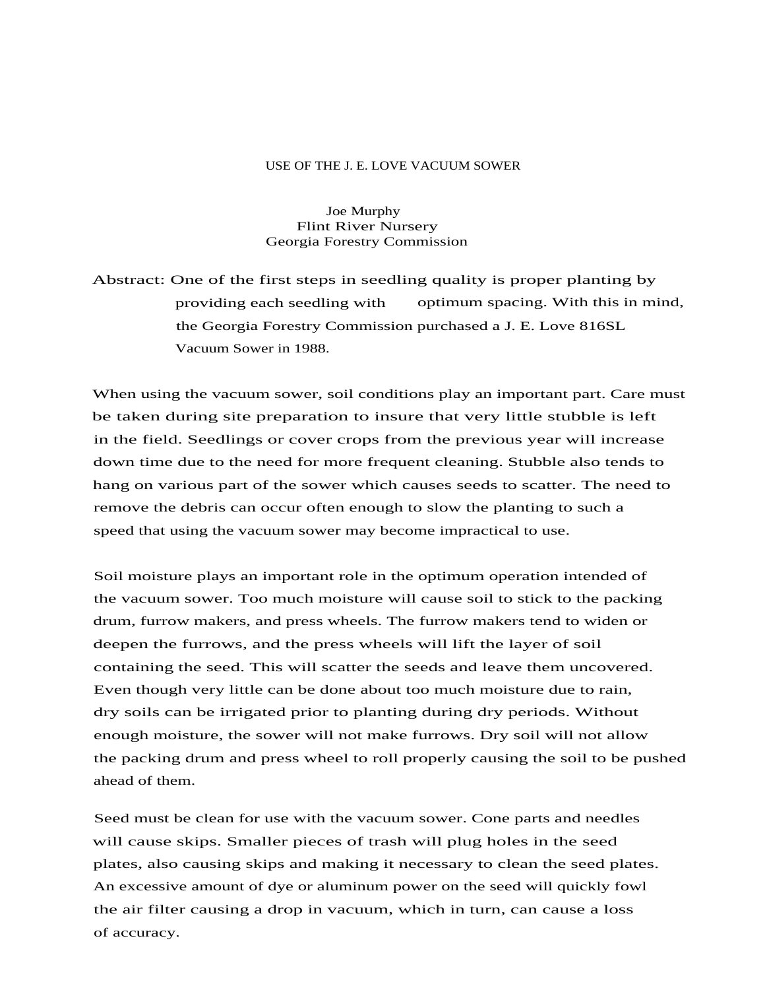## USE OF THE J. E. LOVE VACUUM SOWER

Joe Murphy Flint River Nursery Georgia Forestry Commission

Abstract: One of the first steps in seedling quality is proper planting by providing each seedling with optimum spacing. With this in mind, the Georgia Forestry Commission purchased a J. E. Love 816SL Vacuum Sower in 1988.

When using the vacuum sower, soil conditions play an important part. Care must be taken during site preparation to insure that very little stubble is left in the field. Seedlings or cover crops from the previous year will increase down time due to the need for more frequent cleaning. Stubble also tends to hang on various part of the sower which causes seeds to scatter. The need to remove the debris can occur often enough to slow the planting to such a speed that using the vacuum sower may become impractical to use.

Soil moisture plays an important role in the optimum operation intended of the vacuum sower. Too much moisture will cause soil to stick to the packing drum, furrow makers, and press wheels. The furrow makers tend to widen or deepen the furrows, and the press wheels will lift the layer of soil containing the seed. This will scatter the seeds and leave them uncovered. Even though very little can be done about too much moisture due to rain, dry soils can be irrigated prior to planting during dry periods. Without enough moisture, the sower will not make furrows. Dry soil will not allow the packing drum and press wheel to roll properly causing the soil to be pushed ahead of them.

Seed must be clean for use with the vacuum sower. Cone parts and needles will cause skips. Smaller pieces of trash will plug holes in the seed plates, also causing skips and making it necessary to clean the seed plates. An excessive amount of dye or aluminum power on the seed will quickly fowl the air filter causing a drop in vacuum, which in turn, can cause a loss of accuracy.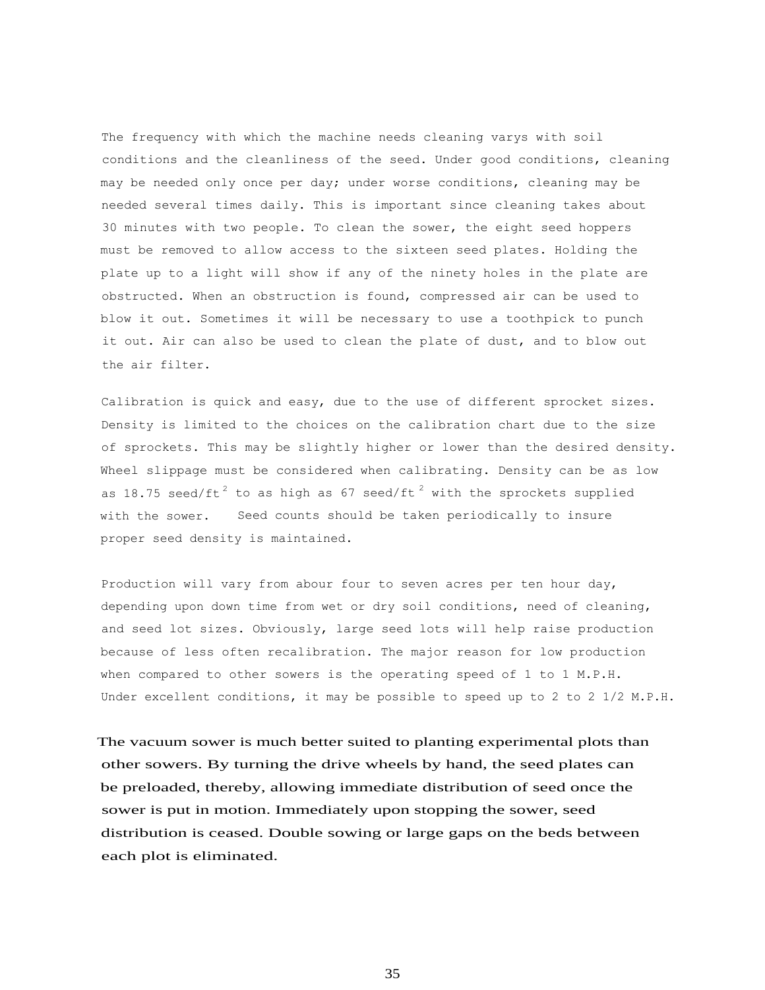The frequency with which the machine needs cleaning varys with soil conditions and the cleanliness of the seed. Under good conditions, cleaning may be needed only once per day; under worse conditions, cleaning may be needed several times daily. This is important since cleaning takes about 30 minutes with two people. To clean the sower, the eight seed hoppers must be removed to allow access to the sixteen seed plates. Holding the plate up to a light will show if any of the ninety holes in the plate are obstructed. When an obstruction is found, compressed air can be used to blow it out. Sometimes it will be necessary to use a toothpick to punch it out. Air can also be used to clean the plate of dust, and to blow out the air filter.

Calibration is quick and easy, due to the use of different sprocket sizes. Density is limited to the choices on the calibration chart due to the size of sprockets. This may be slightly higher or lower than the desired density. Wheel slippage must be considered when calibrating. Density can be as low as 18.75 seed/ft $^{\text{2}}$  to as high as 67 seed/ft  $^{\text{2}}$  with the sprockets supplied with the sower. Seed counts should be taken periodically to insure proper seed density is maintained.

Production will vary from abour four to seven acres per ten hour day, depending upon down time from wet or dry soil conditions, need of cleaning, and seed lot sizes. Obviously, large seed lots will help raise production because of less often recalibration. The major reason for low production when compared to other sowers is the operating speed of 1 to 1 M.P.H. Under excellent conditions, it may be possible to speed up to 2 to 2 1/2 M.P.H.

The vacuum sower is much better suited to planting experimental plots than other sowers. By turning the drive wheels by hand, the seed plates can be preloaded, thereby, allowing immediate distribution of seed once the sower is put in motion. Immediately upon stopping the sower, seed distribution is ceased. Double sowing or large gaps on the beds between each plot is eliminated.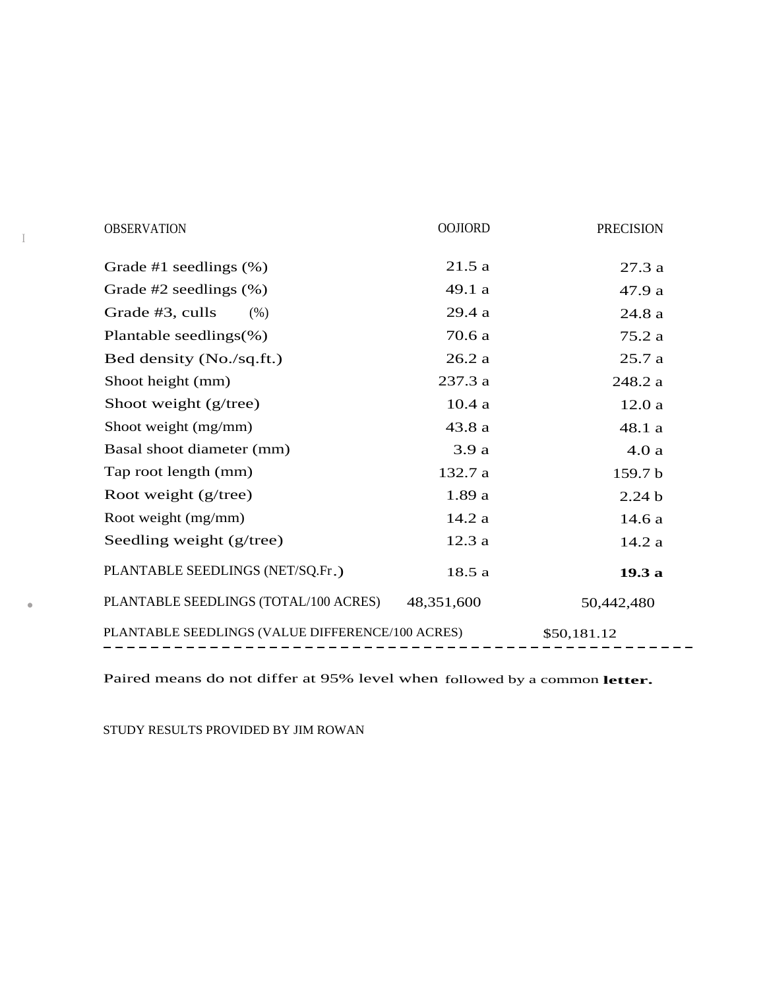| <b>OBSERVATION</b>                               | <b>OOJIORD</b> | <b>PRECISION</b>  |  |
|--------------------------------------------------|----------------|-------------------|--|
| Grade #1 seedlings $(\%)$                        | 21.5a          | 27.3a             |  |
| Grade $#2$ seedlings $(\%)$                      | 49.1 a         | 47.9 a            |  |
| Grade #3, culls<br>(% )                          | 29.4a          | 24.8a             |  |
| Plantable seedlings $(\%)$                       | 70.6 a         | 75.2 a            |  |
| Bed density (No./sq.ft.)                         | 26.2a          | 25.7a             |  |
| Shoot height (mm)                                | 237.3 a        | 248.2 a           |  |
| Shoot weight (g/tree)                            | 10.4a          | 12.0a             |  |
| Shoot weight (mg/mm)                             | 43.8 a         | 48.1 a            |  |
| Basal shoot diameter (mm)                        | 3.9a           | 4.0a              |  |
| Tap root length (mm)                             | 132.7 a        | 159.7 b           |  |
| Root weight (g/tree)                             | 1.89a          | 2.24 <sub>b</sub> |  |
| Root weight (mg/mm)                              | 14.2 a         | 14.6 a            |  |
| Seedling weight (g/tree)                         | 12.3a          | 14.2a             |  |
| PLANTABLE SEEDLINGS (NET/SQ.Fr.)                 | 18.5a          | 19.3 a            |  |
| PLANTABLE SEEDLINGS (TOTAL/100 ACRES)            | 48,351,600     | 50,442,480        |  |
| PLANTABLE SEEDLINGS (VALUE DIFFERENCE/100 ACRES) |                | \$50,181.12       |  |

Paired means do not differ at 95% level when followed by a common **letter.**

STUDY RESULTS PROVIDED BY JIM ROWAN

I

•